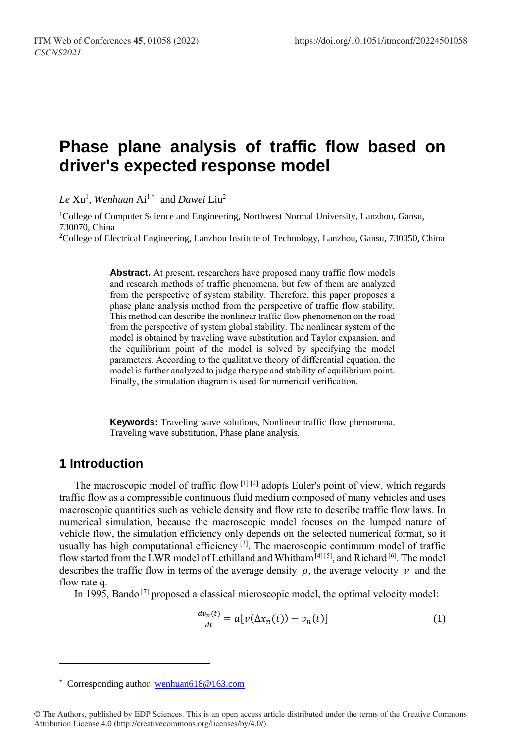# **Phase plane analysis of traffic flow based on driver's expected response model**

*Le* Xu<sup>1</sup> , *Wenhuan* Ai1,\* and *Dawei* Liu<sup>2</sup>

<sup>1</sup>College of Computer Science and Engineering, Northwest Normal University, Lanzhou, Gansu, 730070, China

<sup>2</sup>College of Electrical Engineering, Lanzhou Institute of Technology, Lanzhou, Gansu, 730050, China

Abstract. At present, researchers have proposed many traffic flow models and research methods of traffic phenomena, but few of them are analyzed from the perspective of system stability. Therefore, this paper proposes a phase plane analysis method from the perspective of traffic flow stability. This method can describe the nonlinear traffic flow phenomenon on the road from the perspective of system global stability. The nonlinear system of the model is obtained by traveling wave substitution and Taylor expansion, and the equilibrium point of the model is solved by specifying the model parameters. According to the qualitative theory of differential equation, the model is further analyzed to judge the type and stability of equilibrium point. Finally, the simulation diagram is used for numerical verification.

**Keywords:** Traveling wave solutions, Nonlinear traffic flow phenomena, Traveling wave substitution, Phase plane analysis.

#### **1 Introduction**

 $\overline{a}$ 

The macroscopic model of traffic flow [1] [2] adopts Euler's point of view, which regards traffic flow as a compressible continuous fluid medium composed of many vehicles and uses macroscopic quantities such as vehicle density and flow rate to describe traffic flow laws. In numerical simulation, because the macroscopic model focuses on the lumped nature of vehicle flow, the simulation efficiency only depends on the selected numerical format, so it usually has high computational efficiency  $[3]$ . The macroscopic continuum model of traffic flow started from the LWR model of Lethilland and Whitham<sup>[4][5]</sup>, and Richard<sup>[6]</sup>. The model describes the traffic flow in terms of the average density  $\rho$ , the average velocity  $\nu$  and the flow rate q.

In 1995, Bando<sup>[7]</sup> proposed a classical microscopic model, the optimal velocity model:

$$
\frac{dv_n(t)}{dt} = a[v(\Delta x_n(t)) - v_n(t)]\tag{1}
$$

<sup>\*</sup> Corresponding author[: wenhuan618@163.com](mailto:wenhuan618@163.com)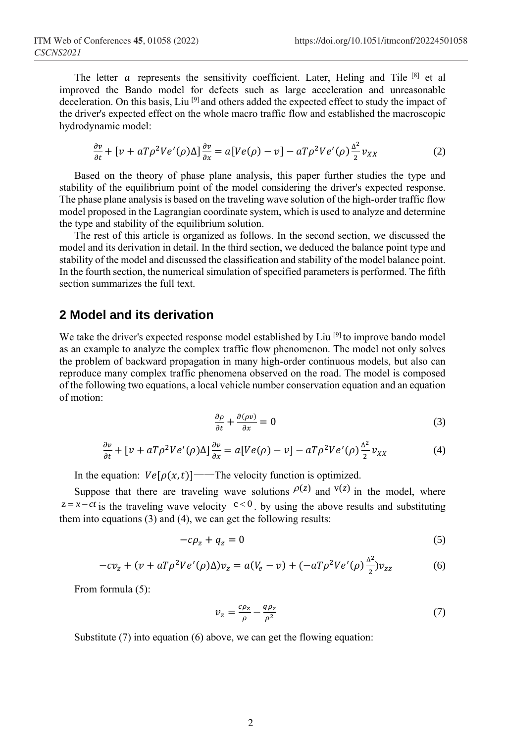The letter  $\alpha$  represents the sensitivity coefficient. Later, Heling and Tile  $[8]$  et al improved the Bando model for defects such as large acceleration and unreasonable deceleration. On this basis, Liu<sup>[9]</sup> and others added the expected effect to study the impact of the driver's expected effect on the whole macro traffic flow and established the macroscopic hydrodynamic model:

$$
\frac{\partial v}{\partial t} + \left[ \nu + aT \rho^2 V e^{\prime}(\rho) \Delta \right] \frac{\partial v}{\partial x} = a[V e(\rho) - v] - aT \rho^2 V e^{\prime}(\rho) \frac{\Delta^2}{2} v_{XX} \tag{2}
$$

Based on the theory of phase plane analysis, this paper further studies the type and stability of the equilibrium point of the model considering the driver's expected response. The phase plane analysis is based on the traveling wave solution of the high-order traffic flow model proposed in the Lagrangian coordinate system, which is used to analyze and determine the type and stability of the equilibrium solution.

The rest of this article is organized as follows. In the second section, we discussed the model and its derivation in detail. In the third section, we deduced the balance point type and stability of the model and discussed the classification and stability of the model balance point. In the fourth section, the numerical simulation of specified parameters is performed. The fifth section summarizes the full text.

#### **2 Model and its derivation**

We take the driver's expected response model established by Liu<sup>[9]</sup> to improve bando model as an example to analyze the complex traffic flow phenomenon. The model not only solves the problem of backward propagation in many high-order continuous models, but also can reproduce many complex traffic phenomena observed on the road. The model is composed of the following two equations, a local vehicle number conservation equation and an equation of motion:

$$
\frac{\partial \rho}{\partial t} + \frac{\partial (\rho v)}{\partial x} = 0 \tag{3}
$$

$$
\frac{\partial v}{\partial t} + \left[ \nu + aT \rho^2 V e'(\rho) \Delta \right] \frac{\partial v}{\partial x} = a[V e(\rho) - v] - aT \rho^2 V e'(\rho) \frac{\Delta^2}{2} v_{XX} \tag{4}
$$

In the equation:  $Ve[\rho(x,t)]$ ——The velocity function is optimized.

Suppose that there are traveling wave solutions  $\rho(z)$  and  $v(z)$  in the model, where  $z = x - ct$  is the traveling wave velocity  $c < 0$ . by using the above results and substituting them into equations (3) and (4), we can get the following results:

$$
-c\rho_z + q_z = 0 \tag{5}
$$

$$
-cv_z + (v + aT\rho^2 Ve'(\rho)\Delta)v_z = a(V_e - v) + (-aT\rho^2Ve'(\rho)\frac{\Delta^2}{2})v_{zz}
$$
(6)

From formula (5):

$$
v_z = \frac{c\rho_z}{\rho} - \frac{q\rho_z}{\rho^2} \tag{7}
$$

Substitute (7) into equation (6) above, we can get the flowing equation: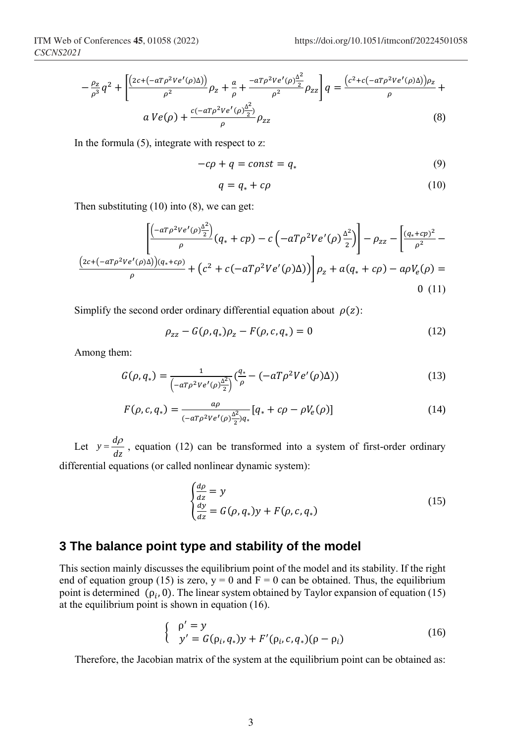$$
-\frac{\rho_{z}}{\rho^{3}}q^{2} + \left[\frac{\left(2c + (-aT\rho^{2}Ve'(\rho)\Delta)\right)}{\rho^{2}}\rho_{z} + \frac{a}{\rho} + \frac{-aT\rho^{2}Ve'(\rho)\frac{\Delta^{2}}{2}}{\rho^{2}}\rho_{zz}\right]q = \frac{(c^{2} + c(-aT\rho^{2}Ve'(\rho)\Delta))\rho_{z}}{\rho} + \frac{aVe(\rho) + \frac{c(-aT\rho^{2}Ve'(\rho)\frac{\Delta^{2}}{2})}{\rho}\rho_{zz}}{(\delta)}
$$
(8)

In the formula  $(5)$ , integrate with respect to z:

$$
-c\rho + q = const = q_* \tag{9}
$$

$$
q = q_* + c\rho \tag{10}
$$

Then substituting (10) into (8), we can get:

$$
\left[ \frac{\left( -a T \rho^2 V e^I(\rho) \frac{\Delta^2}{2} \right)}{\rho} (q_* + cp) - c \left( -a T \rho^2 V e^I(\rho) \frac{\Delta^2}{2} \right) \right] - \rho_{zz} - \left[ \frac{(q_* + cp)^2}{\rho^2} - \frac{(2c + (-a T \rho^2 V e^I(\rho) \Delta)) (q_* + cp)}{\rho} + \left( c^2 + c (-a T \rho^2 V e^I(\rho) \Delta) \right) \right] \rho_z + a(q_* + cp) - a \rho V_e(\rho) = 0
$$
\n(11)

Simplify the second order ordinary differential equation about  $\rho(z)$ :

$$
\rho_{zz} - G(\rho, q_*) \rho_z - F(\rho, c, q_*) = 0 \tag{12}
$$

Among them:

$$
G(\rho, q_*) = \frac{1}{\left(-aT\rho^2Ve'(\rho)\frac{\Delta^2}{2}\right)}\left(\frac{q_*}{\rho} - \left(-aT\rho^2Ve'(\rho)\Delta\right)\right)
$$
(13)

$$
F(\rho, c, q_*) = \frac{a\rho}{(-aT\rho^2Ve'(\rho)\frac{\Delta^2}{2})q_*} [q_* + c\rho - \rho V_e(\rho)]
$$
\n(14)

Let  $y = \frac{dp}{dz}$  $y = \frac{d\rho}{dt}$ , equation (12) can be transformed into a system of first-order ordinary differential equations (or called nonlinear dynamic system):

$$
\begin{cases}\n\frac{d\rho}{dz} = y \\
\frac{dy}{dz} = G(\rho, q_*)y + F(\rho, c, q_*)\n\end{cases}
$$
\n(15)

#### **3 The balance point type and stability of the model**

This section mainly discusses the equilibrium point of the model and its stability. If the right end of equation group (15) is zero,  $y = 0$  and  $F = 0$  can be obtained. Thus, the equilibrium point is determined  $(\rho_i, 0)$ . The linear system obtained by Taylor expansion of equation (15) at the equilibrium point is shown in equation (16).

$$
\begin{cases} \rho' = y \\ y' = G(\rho_i, q_*)y + F'(\rho_i, c, q_*) (\rho - \rho_i) \end{cases}
$$
 (16)

Therefore, the Jacobian matrix of the system at the equilibrium point can be obtained as: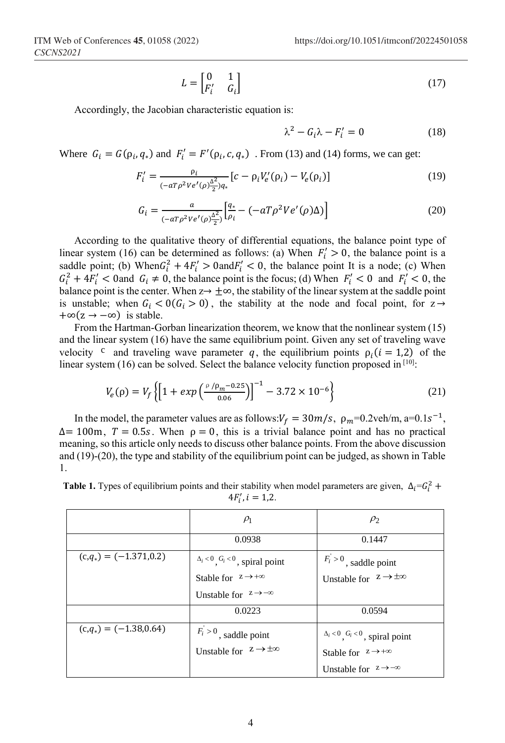$$
L = \begin{bmatrix} 0 & 1 \\ F_i' & G_i \end{bmatrix} \tag{17}
$$

Accordingly, the Jacobian characteristic equation is:

$$
\lambda^2 - G_i \lambda - F'_i = 0 \tag{18}
$$

Where  $G_i = G(\rho_i, q_*)$  and  $F'_i = F'(\rho_i, c, q_*)$ . From (13) and (14) forms, we can get:

$$
F'_{i} = \frac{\rho_{i}}{(-a T \rho^{2} V e'(\rho) \frac{\Delta^{2}}{2}) q_{*}} [c - \rho_{i} V'_{e}(\rho_{i}) - V_{e}(\rho_{i})]
$$
(19)

$$
G_{i} = \frac{a}{(-aT\rho^{2}Ve'(\rho)\frac{\Delta^{2}}{2})} \left[ \frac{q_{*}}{\rho_{i}} - (-aT\rho^{2}Ve'(\rho)\Delta) \right]
$$
(20)

According to the qualitative theory of differential equations, the balance point type of linear system (16) can be determined as follows: (a) When  $F'_i > 0$ , the balance point is a saddle point; (b) When  $G_i^2 + 4F_i' > 0$  and  $F_i' < 0$ , the balance point It is a node; (c) When  $G_i^2 + 4F'_i < 0$  and  $G_i \neq 0$ , the balance point is the focus; (d) When  $F'_i < 0$  and  $F'_i < 0$ , the balance point is the center. When  $z \rightarrow \pm \infty$ , the stability of the linear system at the saddle point is unstable; when  $G_i < O(G_i > 0)$ , the stability at the node and focal point, for  $z \rightarrow$  $+\infty(z \to -\infty)$  is stable.

From the Hartman-Gorban linearization theorem, we know that the nonlinear system (15) and the linear system (16) have the same equilibrium point. Given any set of traveling wave velocity <sup>c</sup> and traveling wave parameter q, the equilibrium points  $\rho_i$  ( $i = 1,2$ ) of the linear system  $(16)$  can be solved. Select the balance velocity function proposed in  $[10]$ .

$$
V_e(\rho) = V_f \left\{ \left[ 1 + \exp\left( \frac{\rho / \rho_m - 0.25}{0.06} \right) \right]^{-1} - 3.72 \times 10^{-6} \right\} \tag{21}
$$

In the model, the parameter values are as follows:  $V_f = 30m/s$ ,  $\rho_m = 0.2 \text{veh/m}$ , a=0.1s<sup>-1</sup>,  $\Delta$ = 100m,  $T = 0.5s$ . When  $\rho = 0$ , this is a trivial balance point and has no practical meaning, so this article only needs to discuss other balance points. From the above discussion and (19)-(20), the type and stability of the equilibrium point can be judged, as shown in Table 1.

**Table 1.** Types of equilibrium points and their stability when model parameters are given,  $\Delta_i = G_i^2$  +  $4F'_i, i = 1,2.$ 

|                          | $\rho_1$                                                            | $\rho_2$                                |
|--------------------------|---------------------------------------------------------------------|-----------------------------------------|
|                          | 0.0938                                                              | 0.1447                                  |
| $(c,q_*) = (-1.371,0.2)$ | $\Delta_i$ < 0, $G_i$ < 0, spiral point                             | $F_i > 0$ , saddle point                |
|                          | Stable for $z \rightarrow +\infty$                                  | Unstable for $z \rightarrow \pm \infty$ |
|                          | Unstable for $z \rightarrow -\infty$                                |                                         |
|                          | 0.0223                                                              | 0.0594                                  |
| $(c,q_*) = (-1.38,0.64)$ | $F_i > 0$ , saddle point<br>Unstable for $z \rightarrow \pm \infty$ | $\Delta_i$ < 0, $G_i$ < 0, spiral point |
|                          |                                                                     | Stable for $z \rightarrow +\infty$      |
|                          |                                                                     | Unstable for $z \rightarrow -\infty$    |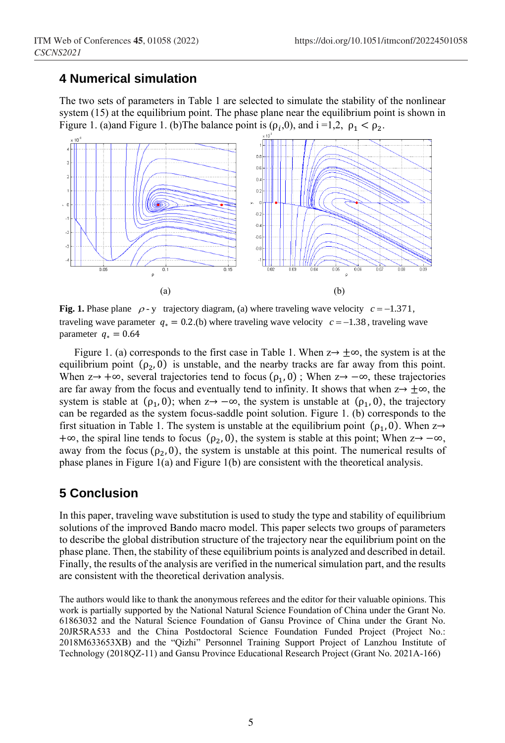## **4 Numerical simulation**

The two sets of parameters in Table 1 are selected to simulate the stability of the nonlinear system (15) at the equilibrium point. The phase plane near the equilibrium point is shown in Figure 1. (a)and Figure 1. (b) The balance point is  $(\rho_i, 0)$ , and  $i = 1, 2$ ,  $\rho_1 < \rho_2$ .



Fig. 1. Phase plane  $\rho$ -y trajectory diagram, (a) where traveling wave velocity  $c = -1.371$ , traveling wave parameter  $q_* = 0.2$ .(b) where traveling wave velocity  $c = -1.38$ , traveling wave parameter  $q_* = 0.64$ 

Figure 1. (a) corresponds to the first case in Table 1. When  $z \rightarrow \pm \infty$ , the system is at the equilibrium point  $(\rho_2, 0)$  is unstable, and the nearby tracks are far away from this point. When  $z \rightarrow +\infty$ , several trajectories tend to focus ( $\rho_1$ , 0); When  $z \rightarrow -\infty$ , these trajectories are far away from the focus and eventually tend to infinity. It shows that when  $z \rightarrow \pm \infty$ , the system is stable at  $(\rho_1, 0)$ ; when  $z \rightarrow -\infty$ , the system is unstable at  $(\rho_1, 0)$ , the trajectory can be regarded as the system focus-saddle point solution. Figure 1. (b) corresponds to the first situation in Table 1. The system is unstable at the equilibrium point  $(\rho_1, 0)$ . When  $z \rightarrow$ +∞, the spiral line tends to focus ( $\rho_2$ , 0), the system is stable at this point; When  $z \rightarrow -\infty$ , away from the focus  $(\rho_2, 0)$ , the system is unstable at this point. The numerical results of phase planes in Figure 1(a) and Figure 1(b) are consistent with the theoretical analysis.

# **5 Conclusion**

In this paper, traveling wave substitution is used to study the type and stability of equilibrium solutions of the improved Bando macro model. This paper selects two groups of parameters to describe the global distribution structure of the trajectory near the equilibrium point on the phase plane. Then, the stability of these equilibrium points is analyzed and described in detail. Finally, the results of the analysis are verified in the numerical simulation part, and the results are consistent with the theoretical derivation analysis.

The authors would like to thank the anonymous referees and the editor for their valuable opinions. This work is partially supported by the National Natural Science Foundation of China under the Grant No. 61863032 and the Natural Science Foundation of Gansu Province of China under the Grant No. 20JR5RA533 and the China Postdoctoral Science Foundation Funded Project (Project No.: 2018M633653XB) and the "Qizhi" Personnel Training Support Project of Lanzhou Institute of Technology (2018QZ-11) and Gansu Province Educational Research Project (Grant No. 2021A-166)